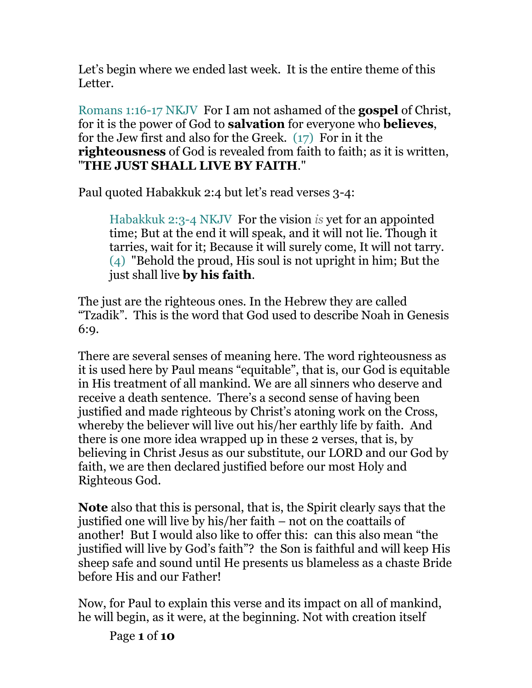Let's begin where we ended last week. It is the entire theme of this Letter.

Romans 1:16-17 NKJV For I am not ashamed of the **gospel** of Christ, for it is the power of God to **salvation** for everyone who **believes**, for the Jew first and also for the Greek. (17) For in it the **righteousness** of God is revealed from faith to faith; as it is written, "**THE JUST SHALL LIVE BY FAITH**."

Paul quoted Habakkuk 2:4 but let's read verses 3-4:

Habakkuk 2:3-4 NKJV For the vision *is* yet for an appointed time; But at the end it will speak, and it will not lie. Though it tarries, wait for it; Because it will surely come, It will not tarry. (4) "Behold the proud, His soul is not upright in him; But the just shall live **by his faith**.

The just are the righteous ones. In the Hebrew they are called "Tzadik". This is the word that God used to describe Noah in Genesis 6:9.

There are several senses of meaning here. The word righteousness as it is used here by Paul means "equitable", that is, our God is equitable in His treatment of all mankind. We are all sinners who deserve and receive a death sentence. There's a second sense of having been justified and made righteous by Christ's atoning work on the Cross, whereby the believer will live out his/her earthly life by faith. And there is one more idea wrapped up in these 2 verses, that is, by believing in Christ Jesus as our substitute, our LORD and our God by faith, we are then declared justified before our most Holy and Righteous God.

**Note** also that this is personal, that is, the Spirit clearly says that the justified one will live by his/her faith – not on the coattails of another! But I would also like to offer this: can this also mean "the justified will live by God's faith"? the Son is faithful and will keep His sheep safe and sound until He presents us blameless as a chaste Bride before His and our Father!

Now, for Paul to explain this verse and its impact on all of mankind, he will begin, as it were, at the beginning. Not with creation itself

Page **1** of **10**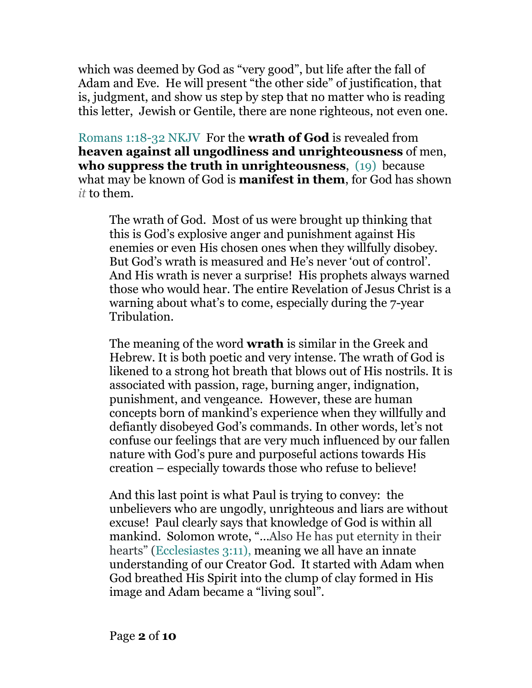which was deemed by God as "very good", but life after the fall of Adam and Eve. He will present "the other side" of justification, that is, judgment, and show us step by step that no matter who is reading this letter, Jewish or Gentile, there are none righteous, not even one.

Romans 1:18-32 NKJV For the **wrath of God** is revealed from **heaven against all ungodliness and unrighteousness** of men, **who suppress the truth in unrighteousness**, (19) because what may be known of God is **manifest in them**, for God has shown *it* to them.

The wrath of God. Most of us were brought up thinking that this is God's explosive anger and punishment against His enemies or even His chosen ones when they willfully disobey. But God's wrath is measured and He's never 'out of control'. And His wrath is never a surprise! His prophets always warned those who would hear. The entire Revelation of Jesus Christ is a warning about what's to come, especially during the 7-year Tribulation.

The meaning of the word **wrath** is similar in the Greek and Hebrew. It is both poetic and very intense. The wrath of God is likened to a strong hot breath that blows out of His nostrils. It is associated with passion, rage, burning anger, indignation, punishment, and vengeance. However, these are human concepts born of mankind's experience when they willfully and defiantly disobeyed God's commands. In other words, let's not confuse our feelings that are very much influenced by our fallen nature with God's pure and purposeful actions towards His creation – especially towards those who refuse to believe!

And this last point is what Paul is trying to convey: the unbelievers who are ungodly, unrighteous and liars are without excuse! Paul clearly says that knowledge of God is within all mankind. Solomon wrote, "…Also He has put eternity in their hearts" (Ecclesiastes 3:11), meaning we all have an innate understanding of our Creator God. It started with Adam when God breathed His Spirit into the clump of clay formed in His image and Adam became a "living soul".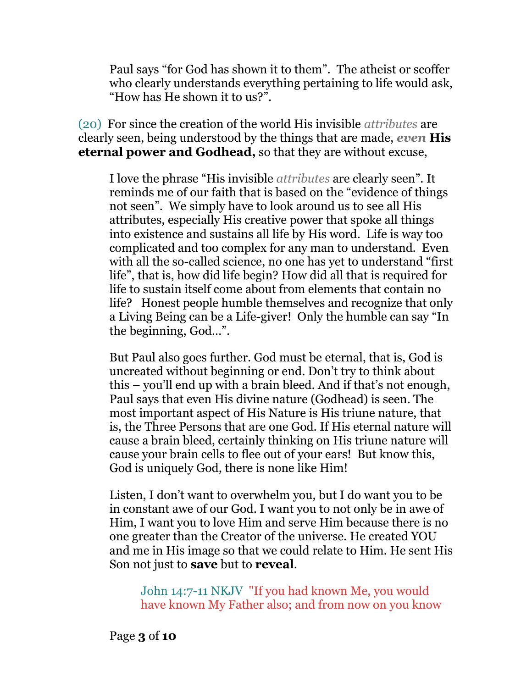Paul says "for God has shown it to them". The atheist or scoffer who clearly understands everything pertaining to life would ask, "How has He shown it to us?".

(20) For since the creation of the world His invisible *attributes* are clearly seen, being understood by the things that are made, *even* **His eternal power and Godhead,** so that they are without excuse,

I love the phrase "His invisible *attributes* are clearly seen". It reminds me of our faith that is based on the "evidence of things not seen". We simply have to look around us to see all His attributes, especially His creative power that spoke all things into existence and sustains all life by His word. Life is way too complicated and too complex for any man to understand. Even with all the so-called science, no one has yet to understand "first life", that is, how did life begin? How did all that is required for life to sustain itself come about from elements that contain no life? Honest people humble themselves and recognize that only a Living Being can be a Life-giver! Only the humble can say "In the beginning, God…".

But Paul also goes further. God must be eternal, that is, God is uncreated without beginning or end. Don't try to think about this – you'll end up with a brain bleed. And if that's not enough, Paul says that even His divine nature (Godhead) is seen. The most important aspect of His Nature is His triune nature, that is, the Three Persons that are one God. If His eternal nature will cause a brain bleed, certainly thinking on His triune nature will cause your brain cells to flee out of your ears! But know this, God is uniquely God, there is none like Him!

Listen, I don't want to overwhelm you, but I do want you to be in constant awe of our God. I want you to not only be in awe of Him, I want you to love Him and serve Him because there is no one greater than the Creator of the universe. He created YOU and me in His image so that we could relate to Him. He sent His Son not just to **save** but to **reveal**.

John 14:7-11 NKJV "If you had known Me, you would have known My Father also; and from now on you know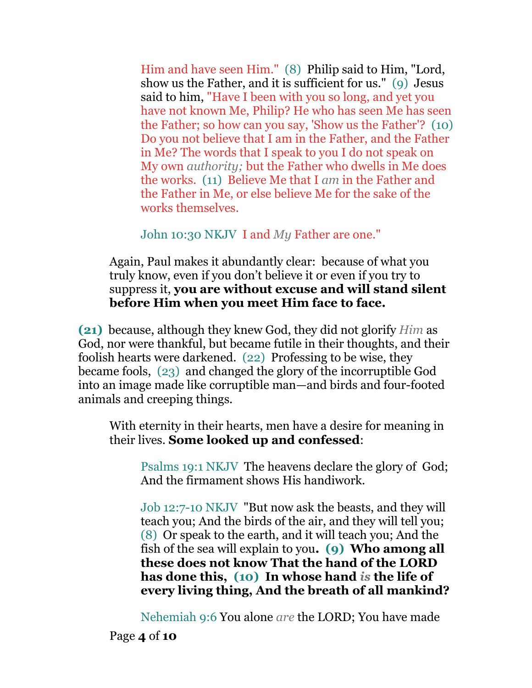Him and have seen Him." (8) Philip said to Him, "Lord, show us the Father, and it is sufficient for us." (9) Jesus said to him, "Have I been with you so long, and yet you have not known Me, Philip? He who has seen Me has seen the Father; so how can you say, 'Show us the Father'? (10) Do you not believe that I am in the Father, and the Father in Me? The words that I speak to you I do not speak on My own *authority;* but the Father who dwells in Me does the works. (11) Believe Me that I *am* in the Father and the Father in Me, or else believe Me for the sake of the works themselves.

John 10:30 NKJV I and *My* Father are one."

Again, Paul makes it abundantly clear: because of what you truly know, even if you don't believe it or even if you try to suppress it, **you are without excuse and will stand silent before Him when you meet Him face to face.** 

**(21)** because, although they knew God, they did not glorify *Him* as God, nor were thankful, but became futile in their thoughts, and their foolish hearts were darkened. (22) Professing to be wise, they became fools, (23) and changed the glory of the incorruptible God into an image made like corruptible man—and birds and four-footed animals and creeping things.

With eternity in their hearts, men have a desire for meaning in their lives. **Some looked up and confessed**:

Psalms 19:1 NKJV The heavens declare the glory of God; And the firmament shows His handiwork.

Job 12:7-10 NKJV "But now ask the beasts, and they will teach you; And the birds of the air, and they will tell you; (8) Or speak to the earth, and it will teach you; And the fish of the sea will explain to you**. (9) Who among all these does not know That the hand of the LORD has done this, (10) In whose hand** *is* **the life of every living thing, And the breath of all mankind?**

Nehemiah 9:6 You alone *are* the LORD; You have made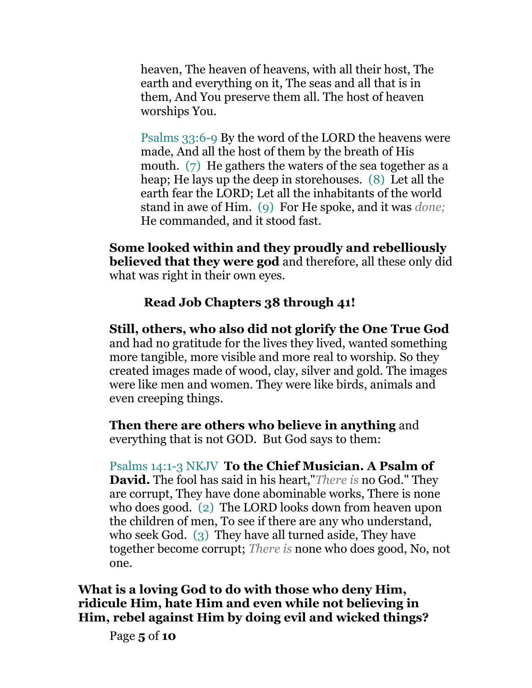heaven, The heaven of heavens, with all their host, The earth and everything on it, The seas and all that is in them, And You preserve them all. The host of heaven worships You.

Psalms 33:6-9 By the word of the LORD the heavens were made, And all the host of them by the breath of His mouth. (7) He gathers the waters of the sea together as a heap; He lays up the deep in storehouses. (8) Let all the earth fear the LORD; Let all the inhabitants of the world stand in awe of Him. (9) For He spoke, and it was *done;* He commanded, and it stood fast.

**Some looked within and they proudly and rebelliously believed that they were god** and therefore, all these only did what was right in their own eyes.

## **Read Job Chapters 38 through 41!**

**Still, others, who also did not glorify the One True God**  and had no gratitude for the lives they lived, wanted something more tangible, more visible and more real to worship. So they created images made of wood, clay, silver and gold. The images were like men and women. They were like birds, animals and even creeping things.

**Then there are others who believe in anything** and everything that is not GOD. But God says to them:

Psalms 14:1-3 NKJV **To the Chief Musician. A Psalm of David.** The fool has said in his heart,"*There is* no God." They are corrupt, They have done abominable works, There is none who does good. (2) The LORD looks down from heaven upon the children of men, To see if there are any who understand, who seek God. (3) They have all turned aside, They have together become corrupt; *There is* none who does good, No, not one.

**What is a loving God to do with those who deny Him, ridicule Him, hate Him and even while not believing in Him, rebel against Him by doing evil and wicked things?** 

Page **5** of **10**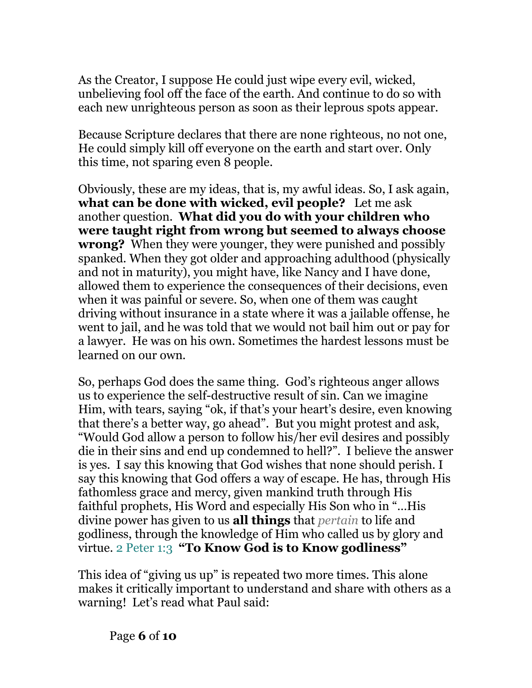As the Creator, I suppose He could just wipe every evil, wicked, unbelieving fool off the face of the earth. And continue to do so with each new unrighteous person as soon as their leprous spots appear.

Because Scripture declares that there are none righteous, no not one, He could simply kill off everyone on the earth and start over. Only this time, not sparing even 8 people.

Obviously, these are my ideas, that is, my awful ideas. So, I ask again, **what can be done with wicked, evil people?** Let me ask another question. **What did you do with your children who were taught right from wrong but seemed to always choose wrong?** When they were younger, they were punished and possibly spanked. When they got older and approaching adulthood (physically and not in maturity), you might have, like Nancy and I have done, allowed them to experience the consequences of their decisions, even when it was painful or severe. So, when one of them was caught driving without insurance in a state where it was a jailable offense, he went to jail, and he was told that we would not bail him out or pay for a lawyer. He was on his own. Sometimes the hardest lessons must be learned on our own.

So, perhaps God does the same thing. God's righteous anger allows us to experience the self-destructive result of sin. Can we imagine Him, with tears, saying "ok, if that's your heart's desire, even knowing that there's a better way, go ahead". But you might protest and ask, "Would God allow a person to follow his/her evil desires and possibly die in their sins and end up condemned to hell?". I believe the answer is yes. I say this knowing that God wishes that none should perish. I say this knowing that God offers a way of escape. He has, through His fathomless grace and mercy, given mankind truth through His faithful prophets, His Word and especially His Son who in "…His divine power has given to us **all things** that *pertain* to life and godliness, through the knowledge of Him who called us by glory and virtue. 2 Peter 1:3 **"To Know God is to Know godliness"**

This idea of "giving us up" is repeated two more times. This alone makes it critically important to understand and share with others as a warning! Let's read what Paul said: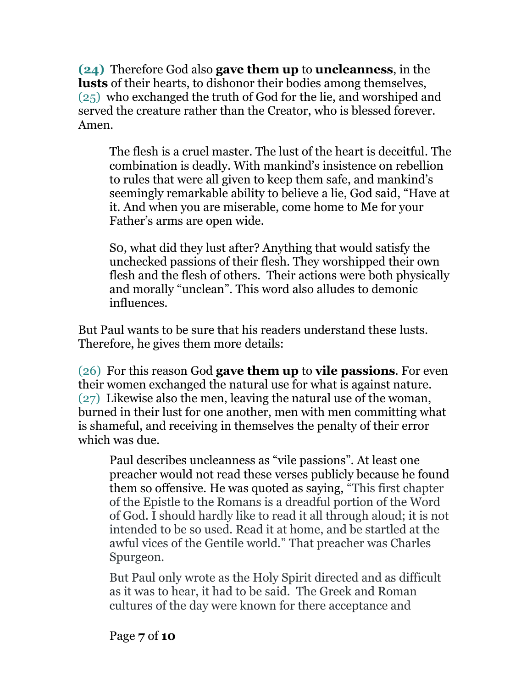**(24)** Therefore God also **gave them up** to **uncleanness**, in the **lusts** of their hearts, to dishonor their bodies among themselves, (25) who exchanged the truth of God for the lie, and worshiped and served the creature rather than the Creator, who is blessed forever. Amen.

The flesh is a cruel master. The lust of the heart is deceitful. The combination is deadly. With mankind's insistence on rebellion to rules that were all given to keep them safe, and mankind's seemingly remarkable ability to believe a lie, God said, "Have at it. And when you are miserable, come home to Me for your Father's arms are open wide.

S0, what did they lust after? Anything that would satisfy the unchecked passions of their flesh. They worshipped their own flesh and the flesh of others. Their actions were both physically and morally "unclean". This word also alludes to demonic influences.

But Paul wants to be sure that his readers understand these lusts. Therefore, he gives them more details:

(26) For this reason God **gave them up** to **vile passions**. For even their women exchanged the natural use for what is against nature. (27) Likewise also the men, leaving the natural use of the woman, burned in their lust for one another, men with men committing what is shameful, and receiving in themselves the penalty of their error which was due.

Paul describes uncleanness as "vile passions". At least one preacher would not read these verses publicly because he found them so offensive. He was quoted as saying, "This first chapter of the Epistle to the Romans is a dreadful portion of the Word of God. I should hardly like to read it all through aloud; it is not intended to be so used. Read it at home, and be startled at the awful vices of the Gentile world." That preacher was Charles Spurgeon.

But Paul only wrote as the Holy Spirit directed and as difficult as it was to hear, it had to be said. The Greek and Roman cultures of the day were known for there acceptance and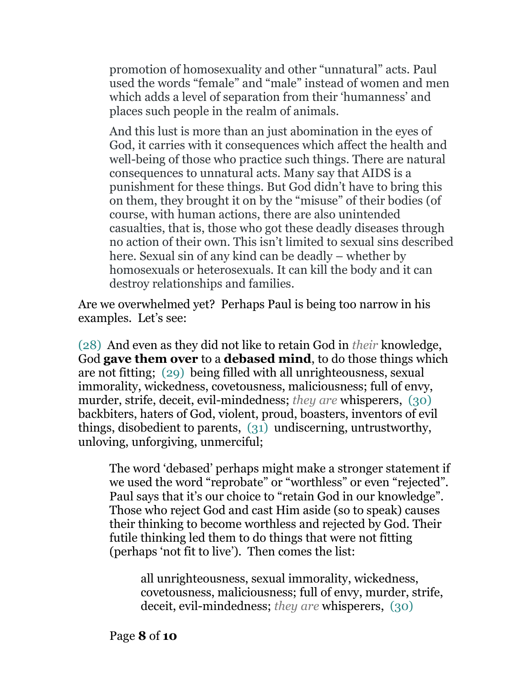promotion of homosexuality and other "unnatural" acts. Paul used the words "female" and "male" instead of women and men which adds a level of separation from their 'humanness' and places such people in the realm of animals.

And this lust is more than an just abomination in the eyes of God, it carries with it consequences which affect the health and well-being of those who practice such things. There are natural consequences to unnatural acts. Many say that AIDS is a punishment for these things. But God didn't have to bring this on them, they brought it on by the "misuse" of their bodies (of course, with human actions, there are also unintended casualties, that is, those who got these deadly diseases through no action of their own. This isn't limited to sexual sins described here. Sexual sin of any kind can be deadly – whether by homosexuals or heterosexuals. It can kill the body and it can destroy relationships and families.

Are we overwhelmed yet? Perhaps Paul is being too narrow in his examples. Let's see:

(28) And even as they did not like to retain God in *their* knowledge, God **gave them over** to a **debased mind**, to do those things which are not fitting; (29) being filled with all unrighteousness, sexual immorality, wickedness, covetousness, maliciousness; full of envy, murder, strife, deceit, evil-mindedness; *they are* whisperers, (30) backbiters, haters of God, violent, proud, boasters, inventors of evil things, disobedient to parents, (31) undiscerning, untrustworthy, unloving, unforgiving, unmerciful;

The word 'debased' perhaps might make a stronger statement if we used the word "reprobate" or "worthless" or even "rejected". Paul says that it's our choice to "retain God in our knowledge". Those who reject God and cast Him aside (so to speak) causes their thinking to become worthless and rejected by God. Their futile thinking led them to do things that were not fitting (perhaps 'not fit to live'). Then comes the list:

all unrighteousness, sexual immorality, wickedness, covetousness, maliciousness; full of envy, murder, strife, deceit, evil-mindedness; *they are* whisperers, (30)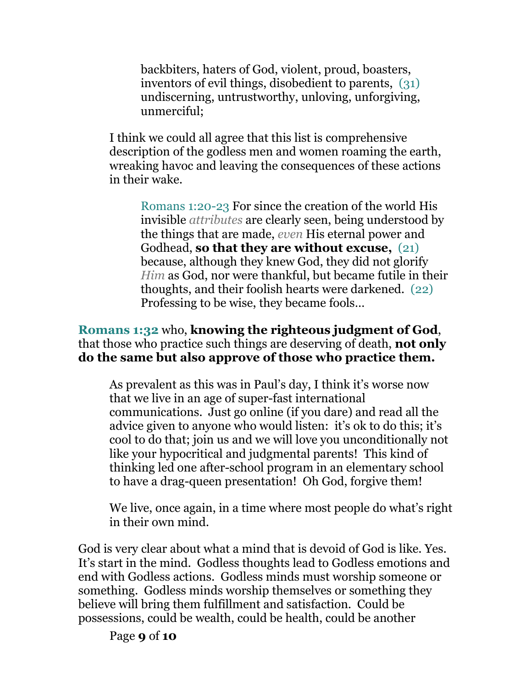backbiters, haters of God, violent, proud, boasters, inventors of evil things, disobedient to parents, (31) undiscerning, untrustworthy, unloving, unforgiving, unmerciful;

I think we could all agree that this list is comprehensive description of the godless men and women roaming the earth, wreaking havoc and leaving the consequences of these actions in their wake.

Romans 1:20-23 For since the creation of the world His invisible *attributes* are clearly seen, being understood by the things that are made, *even* His eternal power and Godhead, **so that they are without excuse,** (21) because, although they knew God, they did not glorify *Him* as God, nor were thankful, but became futile in their thoughts, and their foolish hearts were darkened. (22) Professing to be wise, they became fools…

## **Romans 1:32** who, **knowing the righteous judgment of God**, that those who practice such things are deserving of death, **not only do the same but also approve of those who practice them.**

As prevalent as this was in Paul's day, I think it's worse now that we live in an age of super-fast international communications. Just go online (if you dare) and read all the advice given to anyone who would listen: it's ok to do this; it's cool to do that; join us and we will love you unconditionally not like your hypocritical and judgmental parents! This kind of thinking led one after-school program in an elementary school to have a drag-queen presentation! Oh God, forgive them!

We live, once again, in a time where most people do what's right in their own mind.

God is very clear about what a mind that is devoid of God is like. Yes. It's start in the mind. Godless thoughts lead to Godless emotions and end with Godless actions. Godless minds must worship someone or something. Godless minds worship themselves or something they believe will bring them fulfillment and satisfaction. Could be possessions, could be wealth, could be health, could be another

Page **9** of **10**